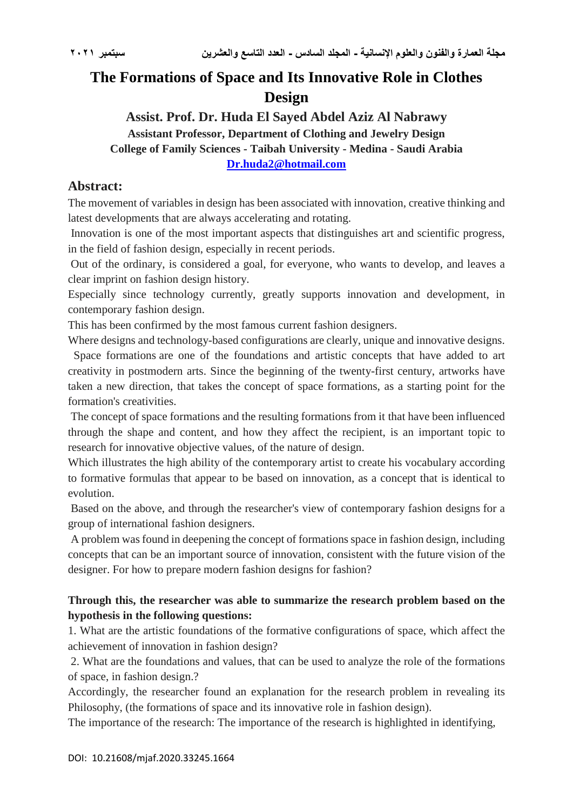# **The Formations of Space and Its Innovative Role in Clothes Design**

# **Assist. Prof. Dr. Huda El Sayed Abdel Aziz Al Nabrawy Assistant Professor, Department of Clothing and Jewelry Design College of Family Sciences - Taibah University - Medina - Saudi Arabia Dr.huda2@hotmail.com**

# **Abstract:**

The movement of variables in design has been associated with innovation, creative thinking and latest developments that are always accelerating and rotating.

Innovation is one of the most important aspects that distinguishes art and scientific progress, in the field of fashion design, especially in recent periods.

Out of the ordinary, is considered a goal, for everyone, who wants to develop, and leaves a clear imprint on fashion design history.

Especially since technology currently, greatly supports innovation and development, in contemporary fashion design.

This has been confirmed by the most famous current fashion designers.

Where designs and technology-based configurations are clearly, unique and innovative designs. Space formations are one of the foundations and artistic concepts that have added to art creativity in postmodern arts. Since the beginning of the twenty-first century, artworks have taken a new direction, that takes the concept of space formations, as a starting point for the formation's creativities.

The concept of space formations and the resulting formations from it that have been influenced through the shape and content, and how they affect the recipient, is an important topic to research for innovative objective values, of the nature of design.

Which illustrates the high ability of the contemporary artist to create his vocabulary according to formative formulas that appear to be based on innovation, as a concept that is identical to evolution.

Based on the above, and through the researcher's view of contemporary fashion designs for a group of international fashion designers.

A problem wasfound in deepening the concept of formationsspace in fashion design, including concepts that can be an important source of innovation, consistent with the future vision of the designer. For how to prepare modern fashion designs for fashion?

#### **Through this, the researcher was able to summarize the research problem based on the hypothesis in the following questions:**

1. What are the artistic foundations of the formative configurations of space, which affect the achievement of innovation in fashion design?

2. What are the foundations and values, that can be used to analyze the role of the formations of space, in fashion design.?

Accordingly, the researcher found an explanation for the research problem in revealing its Philosophy, (the formations of space and its innovative role in fashion design).

The importance of the research: The importance of the research is highlighted in identifying,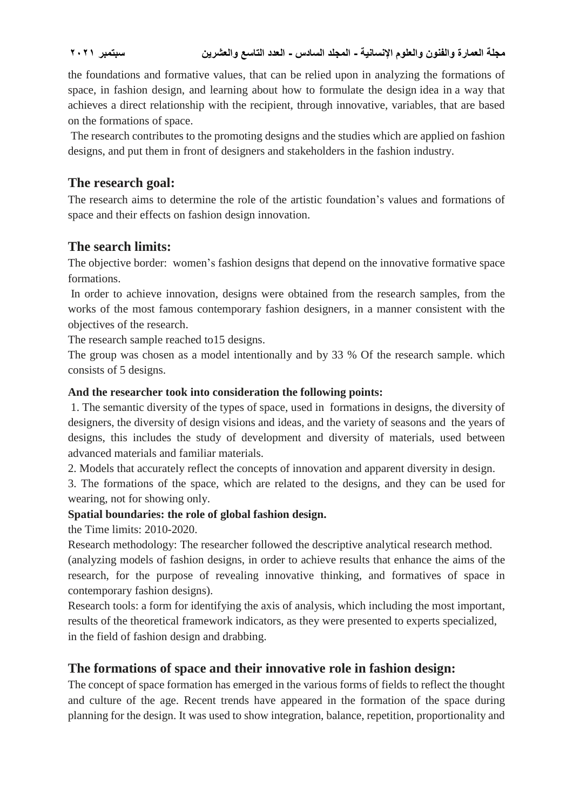the foundations and formative values, that can be relied upon in analyzing the formations of space, in fashion design, and learning about how to formulate the design [idea](http://idea.in/) in a way that achieves a direct relationship with the recipient, through innovative, variables, that are based on the formations of space.

The research contributes to the promoting designs and the studies which are applied on fashion designs, and put them in front of designers and stakeholders in the fashion industry.

### **The research goal:**

The research aims to determine the role of the artistic foundation's values and formations of space and their effects on fashion design innovation.

# **The search limits:**

The objective border: women's fashion designs that depend on the innovative formative space formations.

In order to achieve innovation, designs were obtained from the research samples, from the works of the most famous contemporary fashion designers, in a manner consistent with the objectives of the research.

The research sample reached to15 designs.

The group was chosen as a model intentionally and by 33 % Of the research sample. which consists of 5 designs.

#### **And the researcher took into consideration the following points:**

1. The semantic diversity of the types of space, used in formations in designs, the diversity of designers, the diversity of design visions and ideas, and the variety of seasons and the years of designs, this includes the study of development and diversity of materials, used between advanced materials and familiar materials.

2. Models that accurately reflect the concepts of innovation and apparent diversity in design.

3. The formations of the space, which are related to the designs, and they can be used for wearing, not for showing only.

#### **Spatial boundaries: the role of global fashion design.**

the Time limits: 2010-2020.

Research methodology: The researcher followed the descriptive analytical research method. (analyzing models of fashion designs, in order to achieve results that enhance the aims of the research, for the purpose of revealing innovative thinking, and formatives of space in contemporary fashion designs).

Research tools: a form for identifying the axis of analysis, which including the most important, results of the theoretical framework indicators, as they were presented to experts specialized, in the field of fashion design and drabbing.

# **The formations of space and their innovative role in fashion design:**

The concept of space formation has emerged in the various forms of fields to reflect the thought and culture of the age. Recent trends have appeared in the formation of the space during planning for the design. It was used to show integration, balance, repetition, proportionality and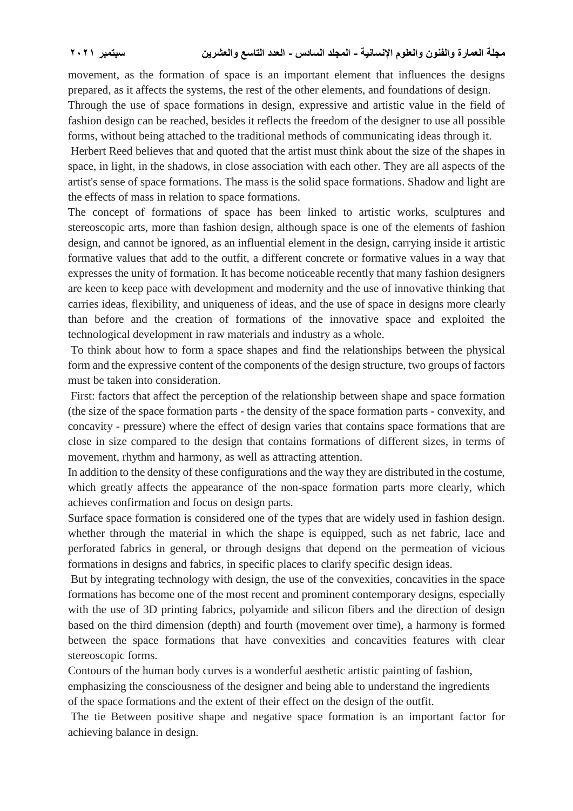movement, as the formation of space is an important element that influences the designs prepared, as it affects the systems, the rest of the other elements, and foundations of design.

Through the use of space formations in design, expressive and artistic value in the field of fashion design can be reached, besides it reflects the freedom of the designer to use all possible forms, without being attached to the traditional methods of communicating ideas through it.

Herbert Reed believes that and quoted that the artist must think about the size of the shapes in space, in light, in the shadows, in close association with each other. They are all aspects of the artist's sense of space formations. The mass is the solid space formations. Shadow and light are the effects of mass in relation to space formations.

The concept of formations of space has been linked to artistic works, sculptures and stereoscopic arts, more than fashion design, although space is one of the elements of fashion design, and cannot be ignored, as an influential element in the design, carrying inside it artistic formative values that add to the outfit, a different concrete or formative values in a way that expresses the unity of formation. It has become noticeable recently that many fashion designers are keen to keep pace with development and modernity and the use of innovative thinking that carries ideas, flexibility, and uniqueness of ideas, and the use of space in designs more clearly than before and the creation of formations of the innovative space and exploited the technological development in raw materials and industry as a whole.

To think about how to form a space shapes and find the relationships between the physical form and the expressive content of the components of the design structure, two groups of factors must be taken into consideration.

First: factors that affect the perception of the relationship between shape and space formation (the size of the space formation parts - the density of the space formation parts - convexity, and concavity - pressure) where the effect of design varies that contains space formations that are close in size compared to the design that contains formations of different sizes, in terms of movement, rhythm and harmony, as well as attracting attention.

In addition to the density of these configurations and the way they are distributed in the costume, which greatly affects the appearance of the non-space formation parts more clearly, which achieves confirmation and focus on design parts.

Surface space formation is considered one of the types that are widely used in fashion design. whether through the material in which the shape is equipped, such as net fabric, lace and perforated fabrics in general, or through designs that depend on the permeation of vicious formations in designs and fabrics, in specific places to clarify specific design ideas.

But by integrating technology with design, the use of the convexities, concavities in the space formations has become one of the most recent and prominent contemporary designs, especially with the use of 3D printing fabrics, polyamide and silicon fibers and the direction of design based on the third dimension (depth) and fourth (movement over time), a harmony is formed between the space formations that have convexities and concavities features with clear stereoscopic forms.

Contours of the human body curves is a wonderful aesthetic artistic painting of fashion,

emphasizing the consciousness of the designer and being able to understand the ingredients of the space formations and the extent of their effect on the design of the outfit.

The tie Between positive shape and negative space formation is an important factor for achieving balance in design.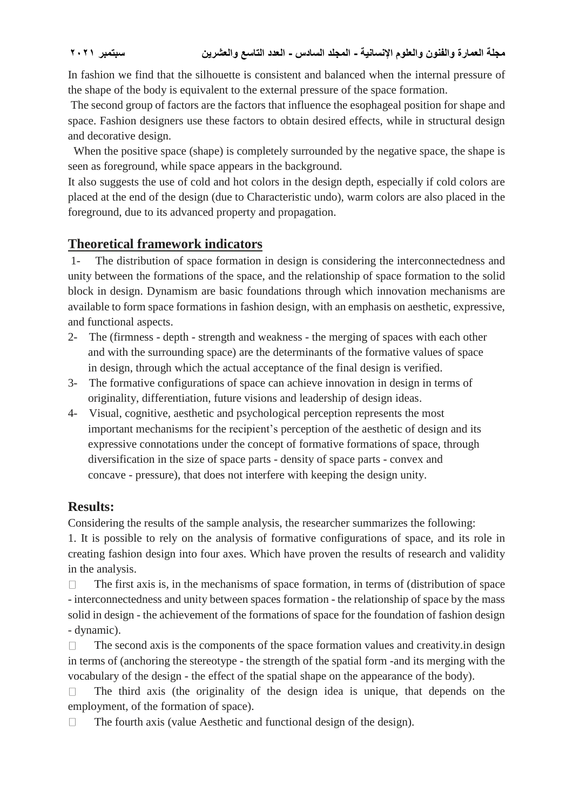In fashion we find that the silhouette is consistent and balanced when the internal pressure of the shape of the body is equivalent to the external pressure of the space formation.

The second group of factors are the factors that influence the esophageal position for shape and space. Fashion designers use these factors to obtain desired effects, while in structural design and decorative design.

When the positive space (shape) is completely surrounded by the negative space, the shape is seen as foreground, while space appears in the background.

It also suggests the use of cold and hot colors in the design depth, especially if cold colors are placed at the end of the design (due to Characteristic undo), warm colors are also placed in the foreground, due to its advanced property and propagation.

### **Theoretical framework indicators**

1- The distribution of space formation in design is considering the interconnectedness and unity between the formations of the space, and the relationship of space formation to the solid block in design. Dynamism are basic foundations through which innovation mechanisms are available to form space formations in fashion design, with an emphasis on aesthetic, expressive, and functional aspects.

- 2- The (firmness depth strength and weakness the merging of spaces with each other and with the surrounding space) are the determinants of the formative values of space in design, through which the actual acceptance of the final design is verified.
- 3- The formative configurations of space can achieve innovation in design in terms of originality, differentiation, future visions and leadership of design ideas.
- 4- Visual, cognitive, aesthetic and psychological perception represents the most important mechanisms for the recipient's perception of the aesthetic of design and its expressive connotations under the concept of formative formations of space, through diversification in the size of space parts - density of space parts - convex and concave - pressure), that does not interfere with keeping the design unity.

# **Results:**

Considering the results of the sample analysis, the researcher summarizes the following:

1. It is possible to rely on the analysis of formative configurations of space, and its role in creating fashion design into four axes. Which have proven the results of research and validity in the analysis.

 $\Box$  The first axis is, in the mechanisms of space formation, in terms of (distribution of space - interconnectedness and unity between spaces formation - the relationship of space by the mass solid in design - the achievement of the formations of space for the foundation of fashion design - dynamic).

 $\Box$  The second axis is the components of the space formation values and creativity. in design in terms of (anchoring the stereotype - the strength of the spatial form -and its merging with the vocabulary of the design - the effect of the spatial shape on the appearance of the body).

 $\Box$  The third axis (the originality of the design idea is unique, that depends on the employment, of the formation of space).

 $\Box$  The fourth axis (value Aesthetic and functional design of the design).